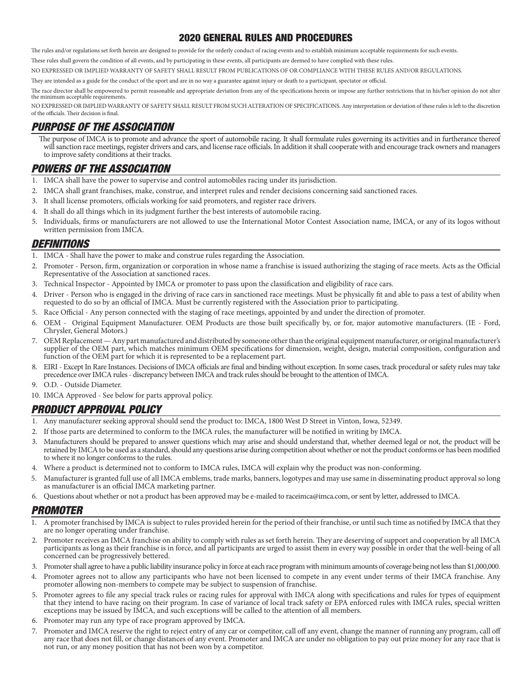### 2020 GENERAL RULES AND PROCEDURES

The rules and/or regulations set forth herein are designed to provide for the orderly conduct of racing events and to establish minimum acceptable requirements for such events.

These rules shall govern the condition of all events, and by participating in these events, all participants are deemed to have complied with these rules.

NO EXPRESSED OR IMPLIED WARRANTY OF SAFETY SHALL RESULT FROM PUBLICATIONS OF OR COMPLIANCE WITH THESE RULES AND/OR REGULATIONS.

They are intended as a guide for the conduct of the sport and are in no way a guarantee against injury or death to a participant, spectator or official.

The race director shall be empowered to permit reasonable and appropriate deviation from any of the specifications herein or impose any further restrictions that in his/her opinion do not alter the minimum acceptable requirements.

NO EXPRESSED OR IMPLIED WARRANTY OF SAFETY SHALL RESULT FROM SUCH ALTERATION OF SPECIFICATIONS. Any interpretation or deviation of these rules is left to the discretion of the officials. Their decision is final.

### PURPOSE OF THE ASSOCIATION

The purpose of IMCA is to promote and advance the sport of automobile racing. It shall formulate rules governing its activities and in furtherance thereof will sanction race meetings, register drivers and cars, and license race officials. In addition it shall cooperate with and encourage track owners and managers to improve safety conditions at their tracks.

# POWERS OF THE ASSOCIATION

- 1. IMCA shall have the power to supervise and control automobiles racing under its jurisdiction.
- 2. IMCA shall grant franchises, make, construe, and interpret rules and render decisions concerning said sanctioned races.
- 3. It shall license promoters, officials working for said promoters, and register race drivers.
- 4. It shall do all things which in its judgment further the best interests of automobile racing.
- 5. Individuals, firms or manufacturers are not allowed to use the International Motor Contest Association name, IMCA, or any of its logos without written permission from IMCA.

### DEFINITIONS

- 1. IMCA Shall have the power to make and construe rules regarding the Association.
- 2. Promoter Person, firm, organization or corporation in whose name a franchise is issued authorizing the staging of race meets. Acts as the Official Representative of the Association at sanctioned races.
- 3. Technical Inspector Appointed by IMCA or promoter to pass upon the classification and eligibility of race cars.
- 4. Driver Person who is engaged in the driving of race cars in sanctioned race meetings. Must be physically fit and able to pass a test of ability when requested to do so by an official of IMCA. Must be currently registered with the Association prior to participating.
- 5. Race Official Any person connected with the staging of race meetings, appointed by and under the direction of promoter.
- 6. OEM Original Equipment Manufacturer. OEM Products are those built specifically by, or for, major automotive manufacturers. (IE Ford, Chrysler, General Motors.)
- 7. OEM Replacement Any part manufactured and distributed by someone other than the original equipment manufacturer, or original manufacturer's supplier of the OEM part, which matches minimum OEM specifications for dimension, weight, design, material composition, configuration and function of the OEM part for which it is represented to be a replacement part.
- 8. EIRI Except In Rare Instances. Decisions of IMCA officials are final and binding without exception. In some cases, track procedural or safety rules may take precedence over IMCA rules - discrepancy between IMCA and track rules should be brought to the attention of IMCA.
- 9. O.D. Outside Diameter.
- 10. IMCA Approved See below for parts approval policy.

## PRODUCT APPROVAL POLICY

- 1. Any manufacturer seeking approval should send the product to: IMCA, 1800 West D Street in Vinton, Iowa, 52349.
- 2. If those parts are determined to conform to the IMCA rules, the manufacturer will be notified in writing by IMCA.
- 3. Manufacturers should be prepared to answer questions which may arise and should understand that, whether deemed legal or not, the product will be retained by IMCA to be used as a standard, should any questions arise during competition about whether or not the product conforms or has been modified to where it no longer conforms to the rules.
- 4. Where a product is determined not to conform to IMCA rules, IMCA will explain why the product was non-conforming.
- 5. Manufacturer is granted full use of all IMCA emblems, trade marks, banners, logotypes and may use same in disseminating product approval so long as manufacturer is an official IMCA marketing partner.
- 6. Questions about whether or not a product has been approved may be e-mailed to raceimca@imca.com, or sent by letter, addressed to IMCA.

## PROMOTER

- 1. A promoter franchised by IMCA is subject to rules provided herein for the period of their franchise, or until such time as notified by IMCA that they are no longer operating under franchise.
- 2. Promoter receives an IMCA franchise on ability to comply with rules as set forth herein. They are deserving of support and cooperation by all IMCA participants as long as their franchise is in force, and all participants are urged to assist them in every way possible in order that the well-being of all concerned can be progressively bettered.
- 3. Promoter shall agree to have a public liability insurance policy in force at each race program with minimum amounts of coverage being not less than \$1,000,000.
- 4. Promoter agrees not to allow any participants who have not been licensed to compete in any event under terms of their IMCA franchise. Any promoter allowing non-members to compete may be subject to suspension of franchise.
- 5. Promoter agrees to file any special track rules or racing rules for approval with IMCA along with specifications and rules for types of equipment that they intend to have racing on their program. In case of variance of local track safety or EPA enforced rules with IMCA rules, special written exceptions may be issued by IMCA, and such exceptions will be called to the attention of all members.
- 6. Promoter may run any type of race program approved by IMCA.
- 7. Promoter and IMCA reserve the right to reject entry of any car or competitor, call off any event, change the manner of running any program, call off any race that does not fill, or change distances of any event. Promoter and IMCA are under no obligation to pay out prize money for any race that is not run, or any money position that has not been won by a competitor.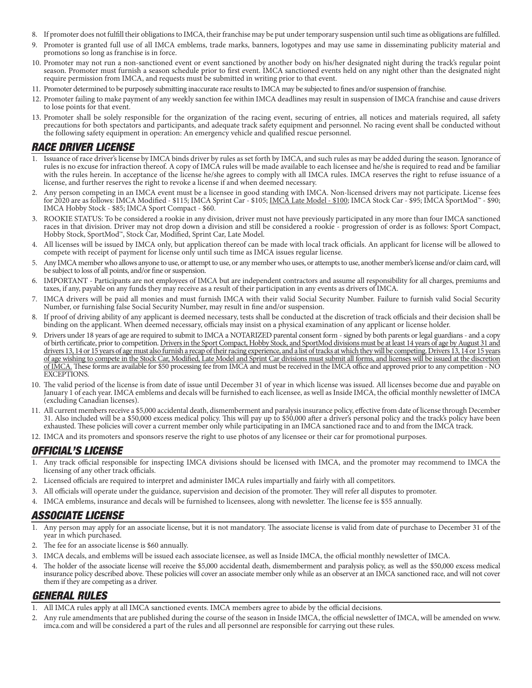- 8. If promoter does not fulfill their obligations to IMCA, their franchise may be put under temporary suspension until such time as obligations are fulfilled.
- 9. Promoter is granted full use of all IMCA emblems, trade marks, banners, logotypes and may use same in disseminating publicity material and promotions so long as franchise is in force.
- 10. Promoter may not run a non-sanctioned event or event sanctioned by another body on his/her designated night during the track's regular point season. Promoter must furnish a season schedule prior to first event. IMCA sanctioned events held on any night other than the designated night require permission from IMCA, and requests must be submitted in writing prior to that event.
- 11. Promoter determined to be purposely submitting inaccurate race results to IMCA may be subjected to fines and/or suspension of franchise.
- 12. Promoter failing to make payment of any weekly sanction fee within IMCA deadlines may result in suspension of IMCA franchise and cause drivers to lose points for that event.
- 13. Promoter shall be solely responsible for the organization of the racing event, securing of entries, all notices and materials required, all safety precautions for both spectators and participants, and adequate track safety equipment and personnel. No racing event shall be conducted without the following safety equipment in operation: An emergency vehicle and qualified rescue personnel.

### RACE DRIVER LICENSE

- 1. Issuance of race driver's license by IMCA binds driver by rules as set forth by IMCA, and such rules as may be added during the season. Ignorance of rules is no excuse for infraction thereof. A copy of IMCA rules will be made available to each licensee and he/she is required to read and be familiar with the rules herein. In acceptance of the license he/she agrees to comply with all IMCA rules. IMCA reserves the right to refuse issuance of a license, and further reserves the right to revoke a license if and when deemed necessary.
- 2. Any person competing in an IMCA event must be a licensee in good standing with IMCA. Non-licensed drivers may not participate. License fees for 2020 are as follows: IMCA Modified - \$115; IMCA Sprint Car - \$105; <u>IMCĂ Late Model - \$100</u>; IMCA Stock Car - \$95; IMCA SportMod<sup>™</sup> - \$90; IMCA Hobby Stock - \$85; IMCA Sport Compact - \$60.
- 3. ROOKIE STATUS: To be considered a rookie in any division, driver must not have previously participated in any more than four IMCA sanctioned races in that division. Driver may not drop down a division and still be considered a rookie - progression of order is as follows: Sport Compact, Hobby Stock, SportMod™, Stock Car, Modified, Sprint Car, Late Model.
- 4. All licenses will be issued by IMCA only, but application thereof can be made with local track officials. An applicant for license will be allowed to compete with receipt of payment for license only until such time as IMCA issues regular license.
- 5. Any IMCA member who allows anyone to use, or attempt to use, or any member who uses, or attempts to use, another member's license and/or claim card, will be subject to loss of all points, and/or fine or suspension.
- 6. IMPORTANT Participants are not employees of IMCA but are independent contractors and assume all responsibility for all charges, premiums and taxes, if any, payable on any funds they may receive as a result of their participation in any events as drivers of IMCA.
- 7. IMCA drivers will be paid all monies and must furnish IMCA with their valid Social Security Number. Failure to furnish valid Social Security Number, or furnishing false Social Security Number, may result in fine and/or suspension.
- 8. If proof of driving ability of any applicant is deemed necessary, tests shall be conducted at the discretion of track officials and their decision shall be binding on the applicant. When deemed necessary, officials may insist on a physical examination of any applicant or license holder.
- 9. Drivers under 18 years of age are required to submit to IMCA a NOTARIZED parental consent form signed by both parents or legal guardians and a copy of birth certificate, prior to competition. Drivers in the Sport Compact, Hobby Stock, and SportMod divisions must be at least 14 years of age by August 31 and drivers 13, 14 or 15 years of age must also furnish a recap of their racing experience, and a list of tracks at which they will be competing. Drivers 13, 14 or 15 years of age wishing to compete in the Stock Car, Modified, Late Model and Sprint Car divisions must submit all forms, and licenses will be issued at the discretion of IMCA. These forms are available for \$50 processing fee from IMCA and must be received in the IMCA office and approved prior to any competition - NO EXCEPTIONS.
- 10. The valid period of the license is from date of issue until December 31 of year in which license was issued. All licenses become due and payable on January 1 of each year. IMCA emblems and decals will be furnished to each licensee, as well as Inside IMCA, the official monthly newsletter of IMCA (excluding Canadian licenses).
- 11. All current members receive a \$5,000 accidental death, dismemberment and paralysis insurance policy, effective from date of license through December 31. Also included will be a \$50,000 excess medical policy. This will pay up to \$50,000 after a driver's personal policy and the track's policy have been exhausted. These policies will cover a current member only while participating in an IMCA sanctioned race and to and from the IMCA track.
- 12. IMCA and its promoters and sponsors reserve the right to use photos of any licensee or their car for promotional purposes.

## OFFICIAL'S LICENSE

- 1. Any track official responsible for inspecting IMCA divisions should be licensed with IMCA, and the promoter may recommend to IMCA the licensing of any other track officials.
- 2. Licensed officials are required to interpret and administer IMCA rules impartially and fairly with all competitors.
- 3. All officials will operate under the guidance, supervision and decision of the promoter. They will refer all disputes to promoter.
- 4. IMCA emblems, insurance and decals will be furnished to licensees, along with newsletter. The license fee is \$55 annually.

### ASSOCIATE LICENSE

- 1. Any person may apply for an associate license, but it is not mandatory. The associate license is valid from date of purchase to December 31 of the year in which purchased.
- 2. The fee for an associate license is \$60 annually.
- 3. IMCA decals, and emblems will be issued each associate licensee, as well as Inside IMCA, the official monthly newsletter of IMCA.
- 4. The holder of the associate license will receive the \$5,000 accidental death, dismemberment and paralysis policy, as well as the \$50,000 excess medical insurance policy described above. These policies will cover an associate member only while as an observer at an IMCA sanctioned race, and will not cover them if they are competing as a driver.

### GENERAL RULES

- 1. All IMCA rules apply at all IMCA sanctioned events. IMCA members agree to abide by the official decisions.
- 2. Any rule amendments that are published during the course of the season in Inside IMCA, the official newsletter of IMCA, will be amended on www. imca.com and will be considered a part of the rules and all personnel are responsible for carrying out these rules.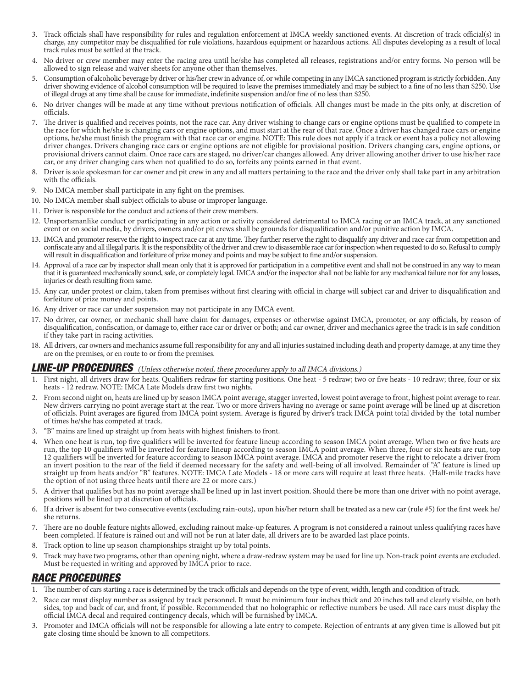- 3. Track officials shall have responsibility for rules and regulation enforcement at IMCA weekly sanctioned events. At discretion of track official(s) in charge, any competitor may be disqualified for rule violations, hazardous equipment or hazardous actions. All disputes developing as a result of local track rules must be settled at the track.
- 4. No driver or crew member may enter the racing area until he/she has completed all releases, registrations and/or entry forms. No person will be allowed to sign release and waiver sheets for anyone other than themselves.
- 5. Consumption of alcoholic beverage by driver or his/her crew in advance of, or while competing in any IMCA sanctioned program is strictly forbidden. Any driver showing evidence of alcohol consumption will be required to leave the premises immediately and may be subject to a fine of no less than \$250. Use of illegal drugs at any time shall be cause for immediate, indefinite suspension and/or fine of no less than \$250.
- 6. No driver changes will be made at any time without previous notification of officials. All changes must be made in the pits only, at discretion of officials.
- 7. The driver is qualified and receives points, not the race car. Any driver wishing to change cars or engine options must be qualified to compete in the race for which he/she is changing cars or engine options, and must start at the rear of that race. Once a driver has changed race cars or engine options, he/she must finish the program with that race car or engine. NOTE: This rule does not apply if a track or event has a policy not allowing driver changes. Drivers changing race cars or engine options are not eligible for provisional position. Drivers changing cars, engine options, or provisional drivers cannot claim. Once race cars are staged, no driver/car changes allowed. Any driver allowing another driver to use his/her race car, or any driver changing cars when not qualified to do so, forfeits any points earned in that event.
- 8. Driver is sole spokesman for car owner and pit crew in any and all matters pertaining to the race and the driver only shall take part in any arbitration with the officials.
- 9. No IMCA member shall participate in any fight on the premises.
- 10. No IMCA member shall subject officials to abuse or improper language.
- 11. Driver is responsible for the conduct and actions of their crew members.
- 12. Unsportsmanlike conduct or participating in any action or activity considered detrimental to IMCA racing or an IMCA track, at any sanctioned event or on social media, by drivers, owners and/or pit crews shall be grounds for disqualification and/or punitive action by IMCA.
- 13. IMCA and promoter reserve the right to inspect race car at any time. They further reserve the right to disqualify any driver and race car from competition and confiscate any and all illegal parts. It is the responsibility of the driver and crew to disassemble race car for inspection when requested to do so. Refusal to comply will result in disqualification and forfeiture of prize money and points and may be subject to fine and/or suspension.
- Approval of a race car by inspector shall mean only that it is approved for participation in a competitive event and shall not be construed in any way to mean that it is guaranteed mechanically sound, safe, or completely legal. IMCA and/or the inspector shall not be liable for any mechanical failure nor for any losses, injuries or death resulting from same.
- 15. Any car, under protest or claim, taken from premises without first clearing with official in charge will subject car and driver to disqualification and forfeiture of prize money and points.
- 16. Any driver or race car under suspension may not participate in any IMCA event.
- 17. No driver, car owner, or mechanic shall have claim for damages, expenses or otherwise against IMCA, promoter, or any officials, by reason of disqualification, confiscation, or damage to, either race car or driver or both; and car owner, driver and mechanics agree the track is in safe condition if they take part in racing activities.
- 18. All drivers, car owners and mechanics assume full responsibility for any and all injuries sustained including death and property damage, at any time they are on the premises, or en route to or from the premises.

#### LINE-UP PROCEDURES (Unless otherwise noted, these procedures apply to all IMCA divisions.)

- First night, all drivers draw for heats. Qualifiers redraw for starting positions. One heat 5 redraw; two or five heats 10 redraw; three, four or six heats - 12 redraw. NOTE: IMCA Late Models draw first two nights.
- 2. From second night on, heats are lined up by season IMCA point average, stagger inverted, lowest point average to front, highest point average to rear. New drivers carrying no point average start at the rear. Two or more drivers having no average or same point average will be lined up at discretion of officials. Point averages are figured from IMCA point system. Average is figured by driver's track IMCA point total divided by the total number of times he/she has competed at track.
- 3. "B" mains are lined up straight up from heats with highest finishers to front.
- 4. When one heat is run, top five qualifiers will be inverted for feature lineup according to season IMCA point average. When two or five heats are run, the top 10 qualifiers will be inverted for feature lineup according to season IMCA point average. When three, four or six heats are run, top 12 qualifiers will be inverted for feature according to season IMCA point average. IMCA and promoter reserve the right to relocate a driver from an invert position to the rear of the field if deemed necessary for the safety and well-being of all involved. Remainder of "A" feature is lined up straight up from heats and/or "B" features. NOTE: IMCA Late Models - 18 or more cars will require at least three heats. (Half-mile tracks have the option of not using three heats until there are 22 or more cars.)
- 5. A driver that qualifies but has no point average shall be lined up in last invert position. Should there be more than one driver with no point average, positions will be lined up at discretion of officials.
- 6. If a driver is absent for two consecutive events (excluding rain-outs), upon his/her return shall be treated as a new car (rule #5) for the first week he/ she returns.
- 7. There are no double feature nights allowed, excluding rainout make-up features. A program is not considered a rainout unless qualifying races have been completed. If feature is rained out and will not be run at later date, all drivers are to be awarded last place points.
- 8. Track option to line up season championships straight up by total points.
- 9. Track may have two programs, other than opening night, where a draw-redraw system may be used for line up. Non-track point events are excluded. Must be requested in writing and approved by IMCA prior to race.

## RACE PROCEDURES

- 1. The number of cars starting a race is determined by the track officials and depends on the type of event, width, length and condition of track.
- 2. Race car must display number as assigned by track personnel. It must be minimum four inches thick and 20 inches tall and clearly visible, on both sides, top and back of car, and front, if possible. Recommended that no holographic or reflective numbers be used. All race cars must display the official IMCA decal and required contingency decals, which will be furnished by IMCA.
- 3. Promoter and IMCA officials will not be responsible for allowing a late entry to compete. Rejection of entrants at any given time is allowed but pit gate closing time should be known to all competitors.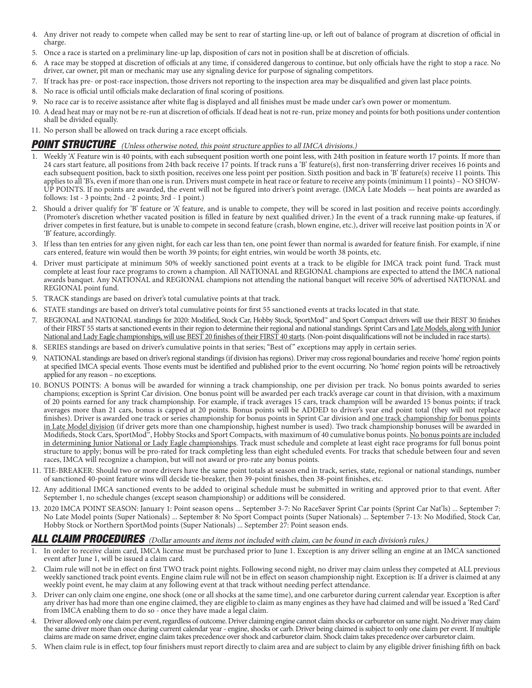- 4. Any driver not ready to compete when called may be sent to rear of starting line-up, or left out of balance of program at discretion of official in charge.
- 5. Once a race is started on a preliminary line-up lap, disposition of cars not in position shall be at discretion of officials.
- 6. A race may be stopped at discretion of officials at any time, if considered dangerous to continue, but only officials have the right to stop a race. No driver, car owner, pit man or mechanic may use any signaling device for purpose of signaling competitors.
- 7. If track has pre- or post-race inspection, those drivers not reporting to the inspection area may be disqualified and given last place points.
- 8. No race is official until officials make declaration of final scoring of positions.
- 9. No race car is to receive assistance after white flag is displayed and all finishes must be made under car's own power or momentum.
- 10. A dead heat may or may not be re-run at discretion of officials. If dead heat is not re-run, prize money and points for both positions under contention shall be divided equally.
- 11. No person shall be allowed on track during a race except officials.

### POINT STRUCTURE (Unless otherwise noted, this point structure applies to all IMCA divisions.)

- 1. Weekly 'A' Feature win is 40 points, with each subsequent position worth one point less, with 24th position in feature worth 17 points. If more than 24 cars start feature, all positions from 24th back receive 17 points. If track runs a 'B' feature(s), first non-transferring driver receives 16 points and each subsequent position, back to sixth position, receives one less point per position. Sixth position and back in 'B' feature(s) receive 11 points. This applies to all 'B's, even if more than one is run. Drivers must compete in heat race or feature to receive any points (minimum 11 points) – NO SHOW-UP POINTS. If no points are awarded, the event will not be figured into driver's point average. (IMCA Late Models — heat points are awarded as follows: 1st - 3 points; 2nd - 2 points; 3rd - 1 point.)
- 2. Should a driver qualify for 'B' feature or 'A' feature, and is unable to compete, they will be scored in last position and receive points accordingly. (Promoter's discretion whether vacated position is filled in feature by next qualified driver.) In the event of a track running make-up features, if driver competes in first feature, but is unable to compete in second feature (crash, blown engine, etc.), driver will receive last position points in 'A' or 'B' feature, accordingly.
- 3. If less than ten entries for any given night, for each car less than ten, one point fewer than normal is awarded for feature finish. For example, if nine cars entered, feature win would then be worth 39 points; for eight entries, win would be worth 38 points, etc.
- 4. Driver must participate at minimum 50% of weekly sanctioned point events at a track to be eligible for IMCA track point fund. Track must complete at least four race programs to crown a champion. All NATIONAL and REGIONAL champions are expected to attend the IMCA national awards banquet. Any NATIONAL and REGIONAL champions not attending the national banquet will receive 50% of advertised NATIONAL and REGIONAL point fund.
- 5. TRACK standings are based on driver's total cumulative points at that track.
- 6. STATE standings are based on driver's total cumulative points for first 55 sanctioned events at tracks located in that state.
- 7. REGIONAL and NATIONAL standings for 2020: Modified, Stock Car, Hobby Stock, SportMod™ and Sport Compact drivers will use their BEST 30 finishes of their FIRST 55 starts at sanctioned events in their region to determine their regional and national standings. Sprint Cars and Late Models, along with Junior National and Lady Eagle championships, will use BEST 20 finishes of their FIRST 40 starts. (Non-point disqualifications will not be included in race starts).
- 8. SERIES standings are based on driver's cumulative points in that series; "Best of " exceptions may apply in certain series.
- 9. NATIONAL standings are based on driver's regional standings (if division has regions). Driver may cross regional boundaries and receive 'home' region points at specified IMCA special events. Those events must be identified and published prior to the event occurring. No 'home' region points will be retroactively applied for any reason – no exceptions.
- 10. BONUS POINTS: A bonus will be awarded for winning a track championship, one per division per track. No bonus points awarded to series champions; exception is Sprint Car division. One bonus point will be awarded per each track's average car count in that division, with a maximum of 20 points earned for any track championship. For example, if track averages 15 cars, track champion will be awarded 15 bonus points; if track averages more than 21 cars, bonus is capped at 20 points. Bonus points will be ADDED to driver's year end point total (they will not replace finishes). Driver is awarded one track or series championship for bonus points in Sprint Car division and <u>one track championship for bonus points</u> in Late Model division (if driver gets more than one championship, highest number is used). Two track championship bonuses will be awarded in Modifieds, Stock Cars, SportMod<sup>™</sup>, Hobby Stocks and Sport Compacts, with maximum of 40 cumulative bonus points. No bonus points are included in determining Junior National or Lady Eagle championships. Track must schedule and complete at least eight race programs for full bonus point structure to apply; bonus will be pro-rated for track completing less than eight scheduled events. For tracks that schedule between four and seven races, IMCA will recognize a champion, but will not award or pro-rate any bonus points.
- 11. TIE-BREAKER: Should two or more drivers have the same point totals at season end in track, series, state, regional or national standings, number of sanctioned 40-point feature wins will decide tie-breaker, then 39-point finishes, then 38-point finishes, etc.
- 12. Any additional IMCA sanctioned events to be added to original schedule must be submitted in writing and approved prior to that event. After September 1, no schedule changes (except season championship) or additions will be considered.
- 13. 2020 IMCA POINT SEASON: January 1: Point season opens ... September 3-7: No RaceSaver Sprint Car points (Sprint Car Nat'ls) ... September 7: No Late Model points (Super Nationals) ... September 8: No Sport Compact points (Super Nationals) ... September 7-13: No Modified, Stock Car, Hobby Stock or Northern SportMod points (Super Nationals) ... September 27: Point season ends.

#### ALL CLAIM PROCEDURES (Dollar amounts and items not included with claim, can be found in each division's rules.)

- 1. In order to receive claim card, IMCA license must be purchased prior to June 1. Exception is any driver selling an engine at an IMCA sanctioned event after June 1, will be issued a claim card.
- 2. Claim rule will not be in effect on first TWO track point nights. Following second night, no driver may claim unless they competed at ALL previous weekly sanctioned track point events. Engine claim rule will not be in effect on season championship night. Exception is: If a driver is claimed at any weekly point event, he may claim at any following event at that track without needing perfect attendance.
- 3. Driver can only claim one engine, one shock (one or all shocks at the same time), and one carburetor during current calendar year. Exception is after any driver has had more than one engine claimed, they are eligible to claim as many engines as they have had claimed and will be issued a 'Red Card' from IMCA enabling them to do so - once they have made a legal claim.
- 4. Driver allowed only one claim per event, regardless of outcome. Driver claiming engine cannot claim shocks or carburetor on same night. No driver may claim the same driver more than once during current calendar year - engine, shocks or carb. Driver being claimed is subject to only one claim per event. If multiple claims are made on same driver, engine claim takes precedence over shock and carburetor claim. Shock claim takes precedence over carburetor claim.
- 5. When claim rule is in effect, top four finishers must report directly to claim area and are subject to claim by any eligible driver finishing fifth on back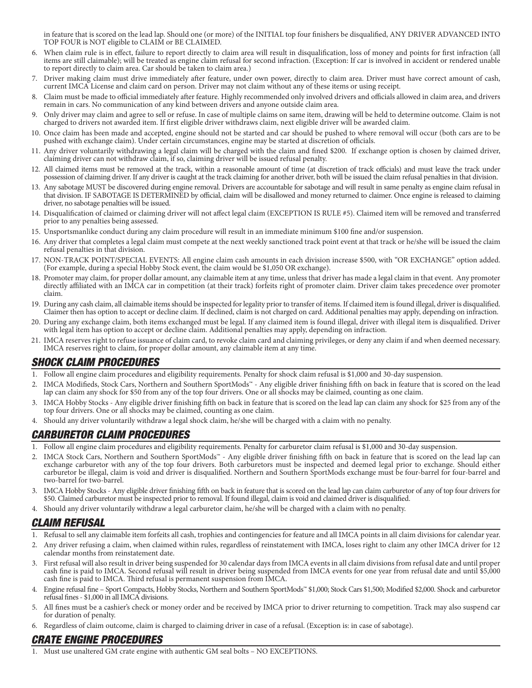in feature that is scored on the lead lap. Should one (or more) of the INITIAL top four finishers be disqualified, ANY DRIVER ADVANCED INTO TOP FOUR is NOT eligible to CLAIM or BE CLAIMED.

- 6. When claim rule is in effect, failure to report directly to claim area will result in disqualification, loss of money and points for first infraction (all items are still claimable); will be treated as engine claim refusal for second infraction. (Exception: If car is involved in accident or rendered unable to report directly to claim area. Car should be taken to claim area.)
- 7. Driver making claim must drive immediately after feature, under own power, directly to claim area. Driver must have correct amount of cash, current IMCA License and claim card on person. Driver may not claim without any of these items or using receipt.
- 8. Claim must be made to official immediately after feature. Highly recommended only involved drivers and officials allowed in claim area, and drivers remain in cars. No communication of any kind between drivers and anyone outside claim area.
- 9. Only driver may claim and agree to sell or refuse. In case of multiple claims on same item, drawing will be held to determine outcome. Claim is not charged to drivers not awarded item. If first eligible driver withdraws claim, next eligible driver will be awarded claim.
- 10. Once claim has been made and accepted, engine should not be started and car should be pushed to where removal will occur (both cars are to be pushed with exchange claim). Under certain circumstances, engine may be started at discretion of officials.
- 11. Any driver voluntarily withdrawing a legal claim will be charged with the claim and fined \$200. If exchange option is chosen by claimed driver, claiming driver can not withdraw claim, if so, claiming driver will be issued refusal penalty.
- 12. All claimed items must be removed at the track, within a reasonable amount of time (at discretion of track officials) and must leave the track under possession of claiming driver. If any driver is caught at the track claiming for another driver, both will be issued the claim refusal penalties in that division.
- 13. Any sabotage MUST be discovered during engine removal. Drivers are accountable for sabotage and will result in same penalty as engine claim refusal in that division. IF SABOTAGE IS DETERMINED by official, claim will be disallowed and money returned to claimer. Once engine is released to claiming driver, no sabotage penalties will be issued.
- 14. Disqualification of claimed or claiming driver will not affect legal claim (EXCEPTION IS RULE #5). Claimed item will be removed and transferred prior to any penalties being assessed.
- 15. Unsportsmanlike conduct during any claim procedure will result in an immediate minimum \$100 fine and/or suspension.
- 16. Any driver that completes a legal claim must compete at the next weekly sanctioned track point event at that track or he/she will be issued the claim refusal penalties in that division.
- 17. NON-TRACK POINT/SPECIAL EVENTS: All engine claim cash amounts in each division increase \$500, with "OR EXCHANGE" option added. (For example, during a special Hobby Stock event, the claim would be \$1,050 OR exchange).
- 18. Promoter may claim, for proper dollar amount, any claimable item at any time, unless that driver has made a legal claim in that event. Any promoter directly affiliated with an IMCA car in competition (at their track) forfeits right of promoter claim. Driver claim takes precedence over promoter claim.
- 19. During any cash claim, all claimable items should be inspected for legality prior to transfer of items. If claimed item is found illegal, driver is disqualified. Claimer then has option to accept or decline claim. If declined, claim is not charged on card. Additional penalties may apply, depending on infraction.
- 20. During any exchange claim, both items exchanged must be legal. If any claimed item is found illegal, driver with illegal item is disqualified. Driver with legal item has option to accept or decline claim. Additional penalties may apply, depending on infraction.
- 21. IMCA reserves right to refuse issuance of claim card, to revoke claim card and claiming privileges, or deny any claim if and when deemed necessary. IMCA reserves right to claim, for proper dollar amount, any claimable item at any time.

## SHOCK CLAIM PROCEDURES

- 1. Follow all engine claim procedures and eligibility requirements. Penalty for shock claim refusal is \$1,000 and 30-day suspension.
- 2. IMCA Modifieds, Stock Cars, Northern and Southern SportMods™ Any eligible driver finishing fifth on back in feature that is scored on the lead lap can claim any shock for \$50 from any of the top four drivers. One or all shocks may be claimed, counting as one claim.
- 3. IMCA Hobby Stocks Any eligible driver finishing fifth on back in feature that is scored on the lead lap can claim any shock for \$25 from any of the top four drivers. One or all shocks may be claimed, counting as one claim.
- 4. Should any driver voluntarily withdraw a legal shock claim, he/she will be charged with a claim with no penalty.

# CARBURETOR CLAIM PROCEDURES

- 1. Follow all engine claim procedures and eligibility requirements. Penalty for carburetor claim refusal is \$1,000 and 30-day suspension.
- 2. IMCA Stock Cars, Northern and Southern SportMods™ Any eligible driver finishing fifth on back in feature that is scored on the lead lap can exchange carburetor with any of the top four drivers. Both carburetors must be inspected and deemed legal prior to exchange. Should either carburetor be illegal, claim is void and driver is disqualified. Northern and Southern SportMods exchange must be four-barrel for four-barrel and two-barrel for two-barrel.
- 3. IMCA Hobby Stocks Any eligible driver finishing fifth on back in feature that is scored on the lead lap can claim carburetor of any of top four drivers for \$50. Claimed carburetor must be inspected prior to removal. If found illegal, claim is void and claimed driver is disqualified.
- 4. Should any driver voluntarily withdraw a legal carburetor claim, he/she will be charged with a claim with no penalty.

## CLAIM REFUSAL

- 1. Refusal to sell any claimable item forfeits all cash, trophies and contingencies for feature and all IMCA points in all claim divisions for calendar year.
- 2. Any driver refusing a claim, when claimed within rules, regardless of reinstatement with IMCA, loses right to claim any other IMCA driver for 12 calendar months from reinstatement date.
- 3. First refusal will also result in driver being suspended for 30 calendar days from IMCA events in all claim divisions from refusal date and until proper cash fine is paid to IMCA. Second refusal will result in driver being suspended from IMCA events for one year from refusal date and until \$5,000 cash fine is paid to IMCA. Third refusal is permanent suspension from IMCA.
- 4. Engine refusal fine Sport Compacts, Hobby Stocks, Northern and Southern SportMods™ \$1,000; Stock Cars \$1,500; Modified \$2,000. Shock and carburetor refusal fines - \$1,000 in all IMCA divisions.
- 5. All fines must be a cashier's check or money order and be received by IMCA prior to driver returning to competition. Track may also suspend car for duration of penalty.
- 6. Regardless of claim outcome, claim is charged to claiming driver in case of a refusal. (Exception is: in case of sabotage).

## CRATE ENGINE PROCEDURES

1. Must use unaltered GM crate engine with authentic GM seal bolts – NO EXCEPTIONS.